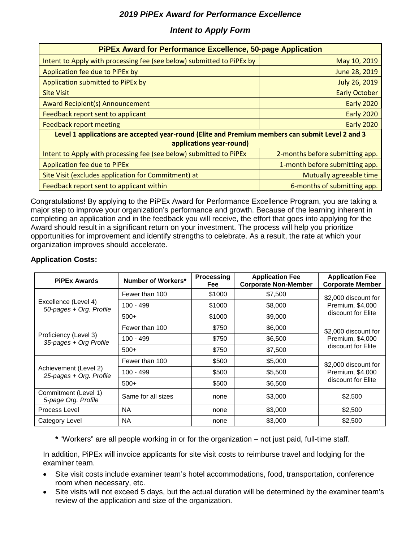## *Intent to Apply Form*

| <b>PIPEx Award for Performance Excellence, 50-page Application</b>                               |                                 |  |  |  |  |  |  |
|--------------------------------------------------------------------------------------------------|---------------------------------|--|--|--|--|--|--|
|                                                                                                  |                                 |  |  |  |  |  |  |
| Intent to Apply with processing fee (see below) submitted to PiPEx by                            | May 10, 2019                    |  |  |  |  |  |  |
| Application fee due to PiPEx by                                                                  | June 28, 2019                   |  |  |  |  |  |  |
| Application submitted to PiPEx by                                                                | <b>July 26, 2019</b>            |  |  |  |  |  |  |
| <b>Site Visit</b>                                                                                | <b>Early October</b>            |  |  |  |  |  |  |
| <b>Award Recipient(s) Announcement</b>                                                           | <b>Early 2020</b>               |  |  |  |  |  |  |
| Feedback report sent to applicant                                                                | <b>Early 2020</b>               |  |  |  |  |  |  |
| <b>Feedback report meeting</b>                                                                   | <b>Early 2020</b>               |  |  |  |  |  |  |
| Level 1 applications are accepted year-round (Elite and Premium members can submit Level 2 and 3 |                                 |  |  |  |  |  |  |
| applications year-round)                                                                         |                                 |  |  |  |  |  |  |
| Intent to Apply with processing fee (see below) submitted to PiPEx                               | 2-months before submitting app. |  |  |  |  |  |  |
| <b>Application fee due to PiPEx</b>                                                              | 1-month before submitting app.  |  |  |  |  |  |  |
| Site Visit (excludes application for Commitment) at                                              | Mutually agreeable time         |  |  |  |  |  |  |
| Feedback report sent to applicant within                                                         | 6-months of submitting app.     |  |  |  |  |  |  |

Congratulations! By applying to the PiPEx Award for Performance Excellence Program, you are taking a major step to improve your organization's performance and growth. Because of the learning inherent in completing an application and in the feedback you will receive, the effort that goes into applying for the Award should result in a significant return on your investment. The process will help you prioritize opportunities for improvement and identify strengths to celebrate. As a result, the rate at which your organization improves should accelerate.

#### **Application Costs:**

| <b>PiPEx Awards</b>                              | Number of Workers* | <b>Processing</b><br><b>Fee</b> | <b>Application Fee</b><br><b>Corporate Non-Member</b> | <b>Application Fee</b><br><b>Corporate Member</b> |  |
|--------------------------------------------------|--------------------|---------------------------------|-------------------------------------------------------|---------------------------------------------------|--|
|                                                  | Fewer than 100     | \$1000                          | \$7,500                                               | \$2,000 discount for                              |  |
| Excellence (Level 4)<br>50-pages + Org. Profile  | $100 - 499$        | \$1000                          | \$8,000                                               | Premium, \$4,000                                  |  |
|                                                  | $500+$             | \$1000                          | \$9,000                                               | discount for Elite                                |  |
|                                                  | Fewer than 100     | \$750                           | \$6,000                                               | \$2,000 discount for                              |  |
| Proficiency (Level 3)<br>35-pages + Org Profile  | 100 - 499          | \$750                           | \$6,500                                               | Premium, \$4,000                                  |  |
|                                                  | $500+$             | \$750                           | \$7,500                                               | discount for Elite                                |  |
|                                                  | Fewer than 100     | \$500                           | \$5,000                                               | \$2,000 discount for                              |  |
| Achievement (Level 2)<br>25-pages + Org. Profile | 100 - 499          | \$500                           | \$5,500                                               | Premium, \$4,000                                  |  |
|                                                  | $500+$             | \$500                           | \$6,500                                               | discount for Elite                                |  |
| Commitment (Level 1)<br>5-page Org. Profile      | Same for all sizes | none                            | \$3,000                                               | \$2,500                                           |  |
| Process Level                                    | <b>NA</b>          | none                            | \$3,000                                               | \$2,500                                           |  |
| Category Level                                   | NA.                | none                            | \$3,000                                               | \$2,500                                           |  |

**\*** "Workers" are all people working in or for the organization – not just paid, full-time staff.

In addition, PiPEx will invoice applicants for site visit costs to reimburse travel and lodging for the examiner team.

- Site visit costs include examiner team's hotel accommodations, food, transportation, conference room when necessary, etc.
- Site visits will not exceed 5 days, but the actual duration will be determined by the examiner team's review of the application and size of the organization.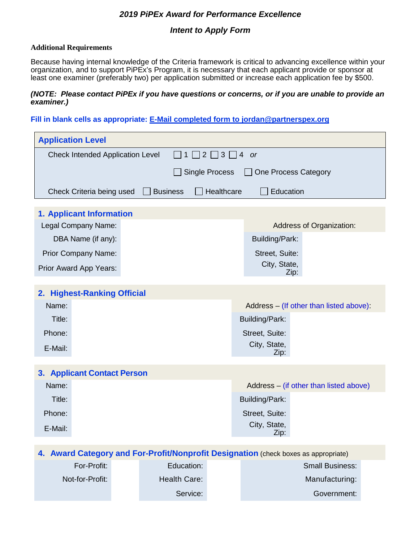## *Intent to Apply Form*

#### **Additional Requirements**

Because having internal knowledge of the Criteria framework is critical to advancing excellence within your organization, and to support PiPEx's Program, it is necessary that each applicant provide or sponsor at least one examiner (preferably two) per application submitted or increase each application fee by \$500.

#### *(NOTE: Please contact PiPEx if you have questions or concerns, or if you are unable to provide an examiner.)*

**Fill in blank cells as appropriate: E-Mail completed form to jordan@partnerspex.org**

| <b>Application Level</b>                                                            |                               |  |                                |                                         |  |  |  |  |  |  |  |
|-------------------------------------------------------------------------------------|-------------------------------|--|--------------------------------|-----------------------------------------|--|--|--|--|--|--|--|
| <b>Check Intended Application Level</b><br>$2 \mid 3 \mid$<br>4 or<br>1             |                               |  |                                |                                         |  |  |  |  |  |  |  |
| <b>Single Process</b><br><b>One Process Category</b>                                |                               |  |                                |                                         |  |  |  |  |  |  |  |
| Check Criteria being used                                                           | Healthcare<br><b>Business</b> |  | Education                      |                                         |  |  |  |  |  |  |  |
|                                                                                     |                               |  |                                |                                         |  |  |  |  |  |  |  |
| 1. Applicant Information<br>Legal Company Name:                                     |                               |  |                                | Address of Organization:                |  |  |  |  |  |  |  |
| DBA Name (if any):                                                                  |                               |  | Building/Park:                 |                                         |  |  |  |  |  |  |  |
|                                                                                     |                               |  |                                |                                         |  |  |  |  |  |  |  |
| Prior Company Name:                                                                 |                               |  | Street, Suite:<br>City, State, |                                         |  |  |  |  |  |  |  |
| Prior Award App Years:                                                              |                               |  | Zip:                           |                                         |  |  |  |  |  |  |  |
| 2. Highest-Ranking Official                                                         |                               |  |                                |                                         |  |  |  |  |  |  |  |
| Name:                                                                               |                               |  |                                | Address - (If other than listed above): |  |  |  |  |  |  |  |
| Title:                                                                              |                               |  | Building/Park:                 |                                         |  |  |  |  |  |  |  |
| Phone:                                                                              | Street, Suite:                |  |                                |                                         |  |  |  |  |  |  |  |
| E-Mail:                                                                             | City, State,                  |  |                                |                                         |  |  |  |  |  |  |  |
| Zip:                                                                                |                               |  |                                |                                         |  |  |  |  |  |  |  |
| <b>3. Applicant Contact Person</b>                                                  |                               |  |                                |                                         |  |  |  |  |  |  |  |
| Name:                                                                               |                               |  |                                | Address – (if other than listed above)  |  |  |  |  |  |  |  |
| Title:                                                                              |                               |  | Building/Park:                 |                                         |  |  |  |  |  |  |  |
| Phone:                                                                              | Street, Suite:                |  |                                |                                         |  |  |  |  |  |  |  |
| E-Mail:                                                                             |                               |  | City, State,<br>Zip:           |                                         |  |  |  |  |  |  |  |
|                                                                                     |                               |  |                                |                                         |  |  |  |  |  |  |  |
| 4. Award Category and For-Profit/Nonprofit Designation (check boxes as appropriate) |                               |  |                                |                                         |  |  |  |  |  |  |  |
| For-Profit:                                                                         | Education:                    |  |                                | <b>Small Business:</b>                  |  |  |  |  |  |  |  |
| Not-for-Profit:                                                                     | <b>Health Care:</b>           |  |                                | Manufacturing:                          |  |  |  |  |  |  |  |
|                                                                                     | Service:                      |  |                                | Government:                             |  |  |  |  |  |  |  |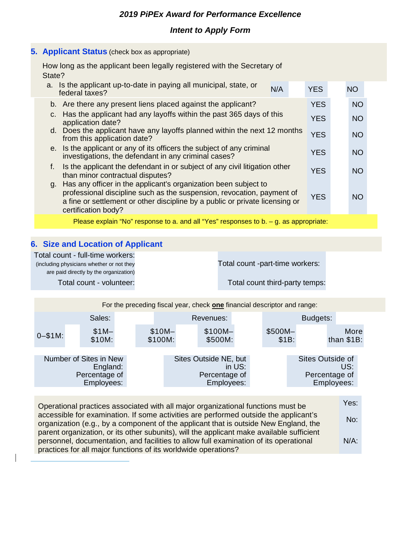## *Intent to Apply Form*

#### **5. Applicant Status** (check box as appropriate)

How long as the applicant been legally registered with the Secretary of State?

|    | a. Is the applicant up-to-date in paying all municipal, state, or<br>federal taxes?                                                                                                                                                              | N/A |  | <b>YES</b> |  | <b>NO</b>       |  |
|----|--------------------------------------------------------------------------------------------------------------------------------------------------------------------------------------------------------------------------------------------------|-----|--|------------|--|-----------------|--|
|    | b. Are there any present liens placed against the applicant?                                                                                                                                                                                     |     |  | <b>YES</b> |  | <b>NO</b>       |  |
| C. | Has the applicant had any layoffs within the past 365 days of this<br>application date?                                                                                                                                                          |     |  | <b>YES</b> |  | <b>NO</b>       |  |
|    | d. Does the applicant have any layoffs planned within the next 12 months<br>from this application date?                                                                                                                                          |     |  |            |  | <b>NO</b>       |  |
|    | e. Is the applicant or any of its officers the subject of any criminal<br>investigations, the defendant in any criminal cases?                                                                                                                   |     |  |            |  | <b>NO</b>       |  |
| f. | Is the applicant the defendant in or subject of any civil litigation other<br>than minor contractual disputes?                                                                                                                                   |     |  |            |  | NO <sub>1</sub> |  |
| g. | Has any officer in the applicant's organization been subject to<br>professional discipline such as the suspension, revocation, payment of<br>a fine or settlement or other discipline by a public or private licensing or<br>certification body? |     |  | <b>YES</b> |  | <b>NO</b>       |  |

Please explain "No" response to a. and all "Yes" responses to b. - g. as appropriate:

#### **6. Size and Location of Applicant**

Total count - full-time workers: (including physicians whether or not they are paid directly by the organization) Total count -part-time workers: Total count - volunteer: Total count third-party temps:

For the preceding fiscal year, check **one** financial descriptor and range:

|              | Sales:                                                            | Revenues:          |  |                                                      |        | Budgets:         |                                   |                      |
|--------------|-------------------------------------------------------------------|--------------------|--|------------------------------------------------------|--------|------------------|-----------------------------------|----------------------|
| $0 - $1 M$ : | $$1M-$<br>\$10M:                                                  | $$10M-$<br>\$100M: |  | $$100M-$<br>\$500M:                                  |        | \$500M-<br>\$1B: |                                   | More<br>than $$1B$ : |
|              | Number of Sites in New<br>England:<br>Percentage of<br>Employees: |                    |  | Sites Outside NE, but<br>Percentage of<br>Employees: | in US: |                  | Sites Outside of<br>Percentage of | US:<br>Employees:    |

Operational practices associated with all major organizational functions must be accessible for examination. If some activities are performed outside the applicant's organization (e.g., by a component of the applicant that is outside New England, the parent organization, or its other subunits), will the applicant make available sufficient personnel, documentation, and facilities to allow full examination of its operational practices for all major functions of its worldwide operations? Yes: No: N/A: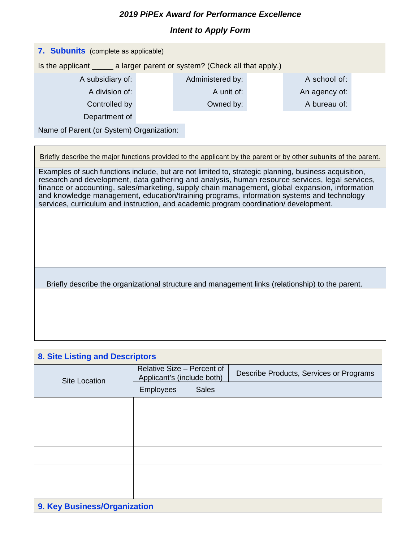## *Intent to Apply Form*

| 7. Subunits (complete as applicable)                                       |                  |  |               |  |  |  |  |
|----------------------------------------------------------------------------|------------------|--|---------------|--|--|--|--|
| Is the applicant ______ a larger parent or system? (Check all that apply.) |                  |  |               |  |  |  |  |
|                                                                            | Administered by: |  | A school of:  |  |  |  |  |
|                                                                            | A unit of:       |  | An agency of: |  |  |  |  |
|                                                                            | Owned by:        |  | A bureau of:  |  |  |  |  |
| Department of                                                              |                  |  |               |  |  |  |  |
| Name of Parent (or System) Organization:                                   |                  |  |               |  |  |  |  |
|                                                                            |                  |  |               |  |  |  |  |
| A subsidiary of:<br>A division of:<br>Controlled by                        |                  |  |               |  |  |  |  |

Briefly describe the major functions provided to the applicant by the parent or by other subunits of the parent.

Examples of such functions include, but are not limited to, strategic planning, business acquisition, research and development, data gathering and analysis, human resource services, legal services, finance or accounting, sales/marketing, supply chain management, global expansion, information and knowledge management, education/training programs, information systems and technology services, curriculum and instruction, and academic program coordination/ development.

Briefly describe the organizational structure and management links (relationship) to the parent.

| <b>8. Site Listing and Descriptors</b> |           |                                                          |                                         |  |  |  |  |
|----------------------------------------|-----------|----------------------------------------------------------|-----------------------------------------|--|--|--|--|
| <b>Site Location</b>                   |           | Relative Size - Percent of<br>Applicant's (include both) | Describe Products, Services or Programs |  |  |  |  |
|                                        | Employees | <b>Sales</b>                                             |                                         |  |  |  |  |
|                                        |           |                                                          |                                         |  |  |  |  |
|                                        |           |                                                          |                                         |  |  |  |  |
|                                        |           |                                                          |                                         |  |  |  |  |
|                                        |           |                                                          |                                         |  |  |  |  |
|                                        |           |                                                          |                                         |  |  |  |  |
|                                        |           |                                                          |                                         |  |  |  |  |
|                                        |           |                                                          |                                         |  |  |  |  |
| 9. Key Business/Organization           |           |                                                          |                                         |  |  |  |  |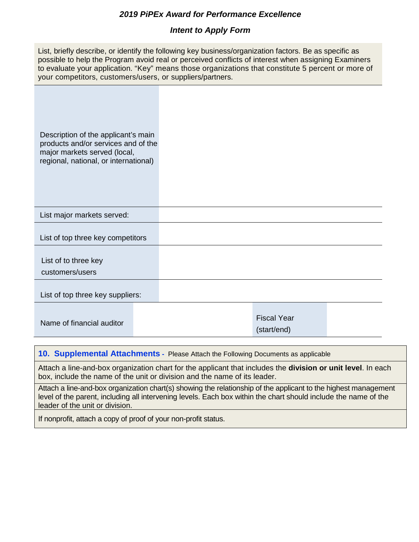## *Intent to Apply Form*

| List, briefly describe, or identify the following key business/organization factors. Be as specific as |
|--------------------------------------------------------------------------------------------------------|
| possible to help the Program avoid real or perceived conflicts of interest when assigning Examiners    |
| to evaluate your application. "Key" means those organizations that constitute 5 percent or more of     |
| your competitors, customers/users, or suppliers/partners.                                              |

 Description of the applicant's main products and/or services and of the major markets served (local, regional, national, or international)

List major markets served:

List of top three key competitors

List of to three key

customers/users

List of top three key suppliers:

|                           | Fiscal Year |  |
|---------------------------|-------------|--|
| Name of financial auditor |             |  |

(start/end)

**10. Supplemental Attachments -** Please Attach the Following Documents as applicable

Attach a line-and-box organization chart for the applicant that includes the **division or unit level**. In each box, include the name of the unit or division and the name of its leader.

Attach a line-and-box organization chart(s) showing the relationship of the applicant to the highest management level of the parent, including all intervening levels. Each box within the chart should include the name of the leader of the unit or division.

If nonprofit, attach a copy of proof of your non-profit status.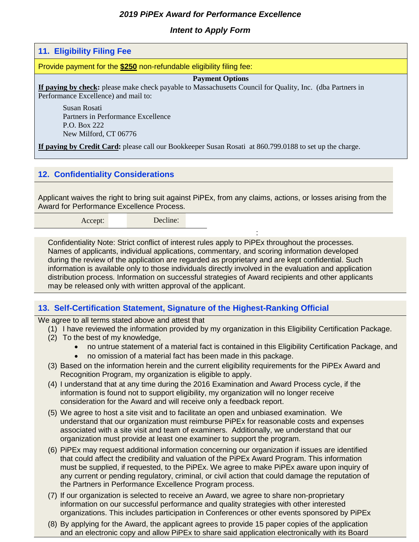### *Intent to Apply Form*

#### **11. Eligibility Filing Fee**

Provide payment for the **\$250** non-refundable eligibility filing fee:

#### **Payment Options**

**If paying by check:** please make check payable to Massachusetts Council for Quality, Inc. (dba Partners in Performance Excellence) and mail to:

Susan Rosati Partners in Performance Excellence P.O. Box 222 New Milford, CT 06776

**If paying by Credit Card:** please call our Bookkeeper Susan Rosati at 860.799.0188 to set up the charge.

#### **12. Confidentiality Considerations**

Applicant waives the right to bring suit against PiPEx, from any claims, actions, or losses arising from the Award for Performance Excellence Process.

Accept: Decline:

Confidentiality Note: Strict conflict of interest rules apply to PiPEx throughout the processes. Names of applicants, individual applications, commentary, and scoring information developed during the review of the application are regarded as proprietary and are kept confidential. Such information is available only to those individuals directly involved in the evaluation and application distribution process. Information on successful strategies of Award recipients and other applicants may be released only with written approval of the applicant.

#### **13. Self-Certification Statement, Signature of the Highest-Ranking Official**

We agree to all terms stated above and attest that

- (1) I have reviewed the information provided by my organization in this Eligibility Certification Package.
- (2) To the best of my knowledge,
	- no untrue statement of a material fact is contained in this Eligibility Certification Package, and

:

- no omission of a material fact has been made in this package.
- (3) Based on the information herein and the current eligibility requirements for the PiPEx Award and Recognition Program, my organization is eligible to apply.
- (4) I understand that at any time during the 2016 Examination and Award Process cycle, if the information is found not to support eligibility, my organization will no longer receive consideration for the Award and will receive only a feedback report.
- (5) We agree to host a site visit and to facilitate an open and unbiased examination. We understand that our organization must reimburse PiPEx for reasonable costs and expenses associated with a site visit and team of examiners. Additionally, we understand that our organization must provide at least one examiner to support the program.
- (6) PiPEx may request additional information concerning our organization if issues are identified that could affect the credibility and valuation of the PiPEx Award Program. This information must be supplied, if requested, to the PiPEx. We agree to make PiPEx aware upon inquiry of any current or pending regulatory, criminal, or civil action that could damage the reputation of the Partners in Performance Excellence Program process.
- (7) If our organization is selected to receive an Award, we agree to share non-proprietary information on our successful performance and quality strategies with other interested organizations. This includes participation in Conferences or other events sponsored by PiPEx
- (8) By applying for the Award, the applicant agrees to provide 15 paper copies of the application and an electronic copy and allow PiPEx to share said application electronically with its Board